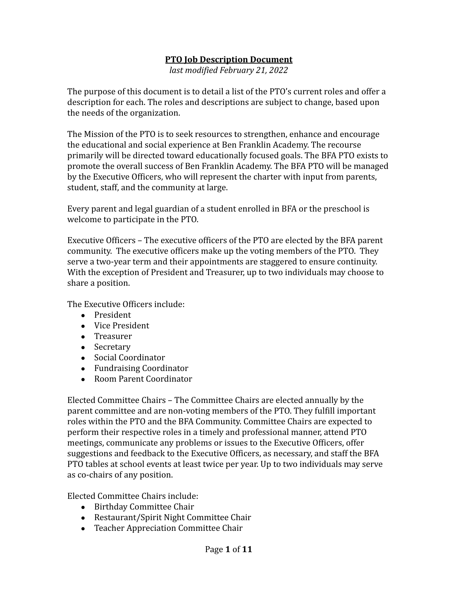## **PTO Job Description Document**

*last modified February 21, 2022*

The purpose of this document is to detail a list of the PTO's current roles and offer a description for each. The roles and descriptions are subject to change, based upon the needs of the organization.

The Mission of the PTO is to seek resources to strengthen, enhance and encourage the educational and social experience at Ben Franklin Academy. The recourse primarily will be directed toward educationally focused goals. The BFA PTO exists to promote the overall success of Ben Franklin Academy. The BFA PTO will be managed by the Executive Officers, who will represent the charter with input from parents, student, staff, and the community at large.

Every parent and legal guardian of a student enrolled in BFA or the preschool is welcome to participate in the PTO.

Executive Officers – The executive officers of the PTO are elected by the BFA parent community. The executive officers make up the voting members of the PTO. They serve a two-year term and their appointments are staggered to ensure continuity. With the exception of President and Treasurer, up to two individuals may choose to share a position.

The Executive Officers include:

- President
- Vice President
- Treasurer
- Secretary
- Social Coordinator
- Fundraising Coordinator
- Room Parent Coordinator

Elected Committee Chairs – The Committee Chairs are elected annually by the parent committee and are non-voting members of the PTO. They fulfill important roles within the PTO and the BFA Community. Committee Chairs are expected to perform their respective roles in a timely and professional manner, attend PTO meetings, communicate any problems or issues to the Executive Officers, offer suggestions and feedback to the Executive Officers, as necessary, and staff the BFA PTO tables at school events at least twice per year. Up to two individuals may serve as co-chairs of any position.

Elected Committee Chairs include:

- Birthday Committee Chair
- Restaurant/Spirit Night Committee Chair
- Teacher Appreciation Committee Chair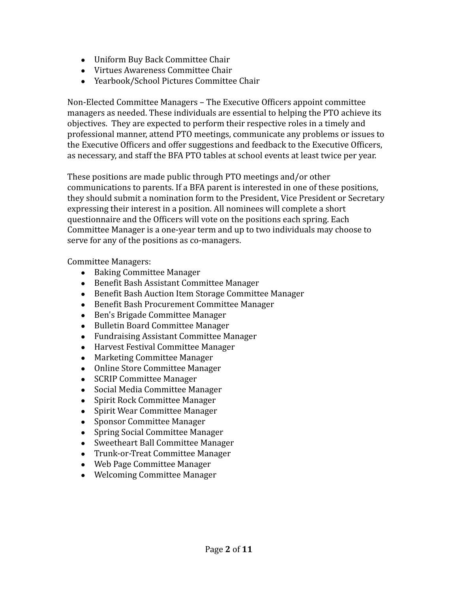- Uniform Buy Back Committee Chair
- Virtues Awareness Committee Chair
- Yearbook/School Pictures Committee Chair

Non-Elected Committee Managers – The Executive Officers appoint committee managers as needed. These individuals are essential to helping the PTO achieve its objectives. They are expected to perform their respective roles in a timely and professional manner, attend PTO meetings, communicate any problems or issues to the Executive Officers and offer suggestions and feedback to the Executive Officers, as necessary, and staff the BFA PTO tables at school events at least twice per year.

These positions are made public through PTO meetings and/or other communications to parents. If a BFA parent is interested in one of these positions, they should submit a nomination form to the President, Vice President or Secretary expressing their interest in a position. All nominees will complete a short questionnaire and the Officers will vote on the positions each spring. Each Committee Manager is a one-year term and up to two individuals may choose to serve for any of the positions as co-managers.

Committee Managers:

- Baking Committee Manager
- Benefit Bash Assistant Committee Manager
- Benefit Bash Auction Item Storage Committee Manager
- Benefit Bash Procurement Committee Manager
- Ben's Brigade Committee Manager
- Bulletin Board Committee Manager
- Fundraising Assistant Committee Manager
- Harvest Festival Committee Manager
- Marketing Committee Manager
- Online Store Committee Manager
- SCRIP Committee Manager
- Social Media Committee Manager
- Spirit Rock Committee Manager
- Spirit Wear Committee Manager
- Sponsor Committee Manager
- Spring Social Committee Manager
- Sweetheart Ball Committee Manager
- Trunk-or-Treat Committee Manager
- Web Page Committee Manager
- Welcoming Committee Manager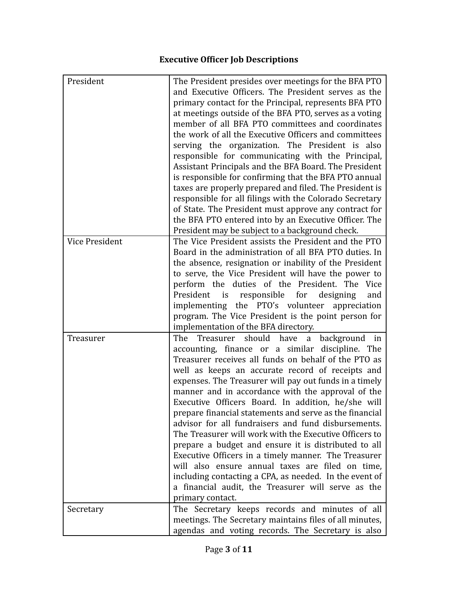## **Executive Officer Job Descriptions**

| President             | The President presides over meetings for the BFA PTO<br>and Executive Officers. The President serves as the<br>primary contact for the Principal, represents BFA PTO<br>at meetings outside of the BFA PTO, serves as a voting<br>member of all BFA PTO committees and coordinates<br>the work of all the Executive Officers and committees<br>serving the organization. The President is also<br>responsible for communicating with the Principal,<br>Assistant Principals and the BFA Board. The President<br>is responsible for confirming that the BFA PTO annual<br>taxes are properly prepared and filed. The President is                                                                                                                                                                                                                                      |
|-----------------------|-----------------------------------------------------------------------------------------------------------------------------------------------------------------------------------------------------------------------------------------------------------------------------------------------------------------------------------------------------------------------------------------------------------------------------------------------------------------------------------------------------------------------------------------------------------------------------------------------------------------------------------------------------------------------------------------------------------------------------------------------------------------------------------------------------------------------------------------------------------------------|
|                       | responsible for all filings with the Colorado Secretary<br>of State. The President must approve any contract for<br>the BFA PTO entered into by an Executive Officer. The<br>President may be subject to a background check.                                                                                                                                                                                                                                                                                                                                                                                                                                                                                                                                                                                                                                          |
| <b>Vice President</b> | The Vice President assists the President and the PTO<br>Board in the administration of all BFA PTO duties. In<br>the absence, resignation or inability of the President<br>to serve, the Vice President will have the power to<br>perform the duties of the President. The Vice<br>is<br>responsible for<br>President<br>designing<br>and<br>implementing the PTO's volunteer appreciation<br>program. The Vice President is the point person for<br>implementation of the BFA directory.                                                                                                                                                                                                                                                                                                                                                                             |
| Treasurer             | Treasurer should have a background in<br>The<br>accounting, finance or a similar discipline. The<br>Treasurer receives all funds on behalf of the PTO as<br>well as keeps an accurate record of receipts and<br>expenses. The Treasurer will pay out funds in a timely<br>manner and in accordance with the approval of the<br>Executive Officers Board. In addition, he/she will<br>prepare financial statements and serve as the financial<br>advisor for all fundraisers and fund disbursements.<br>The Treasurer will work with the Executive Officers to<br>prepare a budget and ensure it is distributed to all<br>Executive Officers in a timely manner. The Treasurer<br>will also ensure annual taxes are filed on time,<br>including contacting a CPA, as needed. In the event of<br>a financial audit, the Treasurer will serve as the<br>primary contact. |
| Secretary             | The Secretary keeps records and minutes of all<br>meetings. The Secretary maintains files of all minutes,<br>agendas and voting records. The Secretary is also                                                                                                                                                                                                                                                                                                                                                                                                                                                                                                                                                                                                                                                                                                        |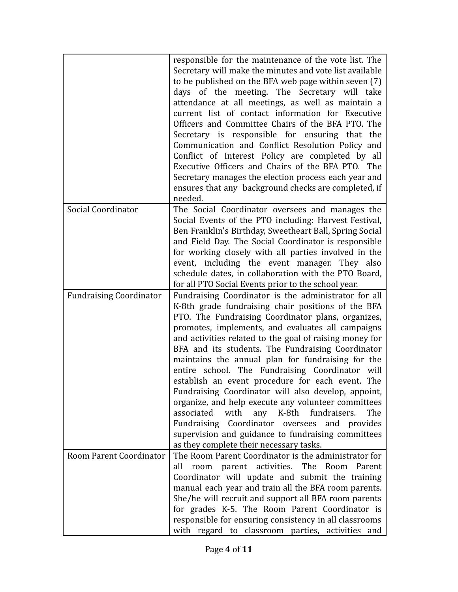|                                | responsible for the maintenance of the vote list. The<br>Secretary will make the minutes and vote list available<br>to be published on the BFA web page within seven (7)<br>days of the meeting. The Secretary will take<br>attendance at all meetings, as well as maintain a<br>current list of contact information for Executive<br>Officers and Committee Chairs of the BFA PTO. The<br>Secretary is responsible for ensuring that the<br>Communication and Conflict Resolution Policy and<br>Conflict of Interest Policy are completed by all<br>Executive Officers and Chairs of the BFA PTO. The<br>Secretary manages the election process each year and<br>ensures that any background checks are completed, if<br>needed.                                                                                        |
|--------------------------------|--------------------------------------------------------------------------------------------------------------------------------------------------------------------------------------------------------------------------------------------------------------------------------------------------------------------------------------------------------------------------------------------------------------------------------------------------------------------------------------------------------------------------------------------------------------------------------------------------------------------------------------------------------------------------------------------------------------------------------------------------------------------------------------------------------------------------|
| Social Coordinator             | The Social Coordinator oversees and manages the                                                                                                                                                                                                                                                                                                                                                                                                                                                                                                                                                                                                                                                                                                                                                                          |
|                                | Social Events of the PTO including: Harvest Festival,<br>Ben Franklin's Birthday, Sweetheart Ball, Spring Social                                                                                                                                                                                                                                                                                                                                                                                                                                                                                                                                                                                                                                                                                                         |
|                                | and Field Day. The Social Coordinator is responsible                                                                                                                                                                                                                                                                                                                                                                                                                                                                                                                                                                                                                                                                                                                                                                     |
|                                | for working closely with all parties involved in the                                                                                                                                                                                                                                                                                                                                                                                                                                                                                                                                                                                                                                                                                                                                                                     |
|                                | event, including the event manager. They also<br>schedule dates, in collaboration with the PTO Board,                                                                                                                                                                                                                                                                                                                                                                                                                                                                                                                                                                                                                                                                                                                    |
|                                | for all PTO Social Events prior to the school year.                                                                                                                                                                                                                                                                                                                                                                                                                                                                                                                                                                                                                                                                                                                                                                      |
| <b>Fundraising Coordinator</b> | Fundraising Coordinator is the administrator for all<br>K-8th grade fundraising chair positions of the BFA<br>PTO. The Fundraising Coordinator plans, organizes,<br>promotes, implements, and evaluates all campaigns<br>and activities related to the goal of raising money for<br>BFA and its students. The Fundraising Coordinator<br>maintains the annual plan for fundraising for the<br>entire school. The Fundraising Coordinator will<br>establish an event procedure for each event. The<br>Fundraising Coordinator will also develop, appoint,<br>organize, and help execute any volunteer committees<br>with<br>any K-8th fundraisers.<br>The<br>associated<br>Fundraising Coordinator oversees and provides<br>supervision and guidance to fundraising committees<br>as they complete their necessary tasks. |
| Room Parent Coordinator        | The Room Parent Coordinator is the administrator for<br>room parent activities. The Room<br>Parent<br>all                                                                                                                                                                                                                                                                                                                                                                                                                                                                                                                                                                                                                                                                                                                |
|                                | Coordinator will update and submit the training                                                                                                                                                                                                                                                                                                                                                                                                                                                                                                                                                                                                                                                                                                                                                                          |
|                                | manual each year and train all the BFA room parents.                                                                                                                                                                                                                                                                                                                                                                                                                                                                                                                                                                                                                                                                                                                                                                     |
|                                | She/he will recruit and support all BFA room parents<br>for grades K-5. The Room Parent Coordinator is                                                                                                                                                                                                                                                                                                                                                                                                                                                                                                                                                                                                                                                                                                                   |
|                                | responsible for ensuring consistency in all classrooms                                                                                                                                                                                                                                                                                                                                                                                                                                                                                                                                                                                                                                                                                                                                                                   |
|                                | with regard to classroom parties, activities and                                                                                                                                                                                                                                                                                                                                                                                                                                                                                                                                                                                                                                                                                                                                                                         |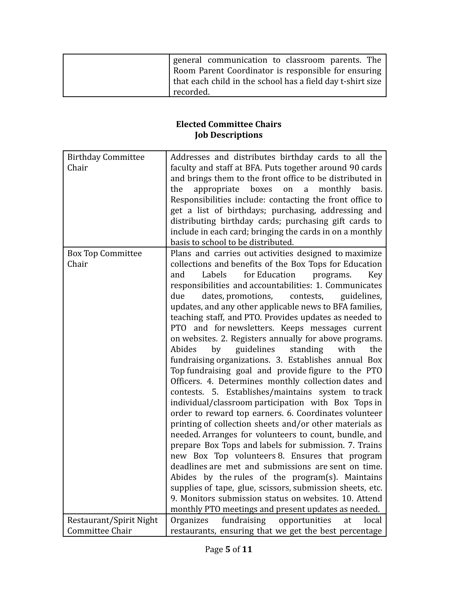| general communication to classroom parents. The            |
|------------------------------------------------------------|
| Room Parent Coordinator is responsible for ensuring        |
| that each child in the school has a field day t-shirt size |
| recorded.                                                  |

## **Elected Committee Chairs Job Descriptions**

| <b>Birthday Committee</b><br>Chair | Addresses and distributes birthday cards to all the<br>faculty and staff at BFA. Puts together around 90 cards |
|------------------------------------|----------------------------------------------------------------------------------------------------------------|
|                                    | and brings them to the front office to be distributed in                                                       |
|                                    | appropriate<br>boxes<br>on<br>basis.<br>the<br>a<br>monthly                                                    |
|                                    | Responsibilities include: contacting the front office to                                                       |
|                                    | get a list of birthdays; purchasing, addressing and                                                            |
|                                    | distributing birthday cards; purchasing gift cards to                                                          |
|                                    | include in each card; bringing the cards in on a monthly                                                       |
|                                    | basis to school to be distributed.                                                                             |
| <b>Box Top Committee</b>           | Plans and carries out activities designed to maximize                                                          |
| Chair                              | collections and benefits of the Box Tops for Education                                                         |
|                                    | Labels<br>for Education<br>and<br>programs.<br>Key                                                             |
|                                    | responsibilities and accountabilities: 1. Communicates                                                         |
|                                    | due<br>dates, promotions,<br>contests,<br>guidelines,                                                          |
|                                    | updates, and any other applicable news to BFA families,                                                        |
|                                    | teaching staff, and PTO. Provides updates as needed to                                                         |
|                                    | PTO and for newsletters. Keeps messages current                                                                |
|                                    | on websites. 2. Registers annually for above programs.                                                         |
|                                    | Abides<br>guidelines<br>standing<br>with<br>the<br>by                                                          |
|                                    | fundraising organizations. 3. Establishes annual Box                                                           |
|                                    | Top fundraising goal and provide figure to the PTO                                                             |
|                                    | Officers. 4. Determines monthly collection dates and                                                           |
|                                    | contests. 5. Establishes/maintains system to track                                                             |
|                                    | individual/classroom participation with Box Tops in                                                            |
|                                    | order to reward top earners. 6. Coordinates volunteer                                                          |
|                                    | printing of collection sheets and/or other materials as                                                        |
|                                    | needed. Arranges for volunteers to count, bundle, and                                                          |
|                                    | prepare Box Tops and labels for submission. 7. Trains<br>new Box Top volunteers 8. Ensures that program        |
|                                    | deadlines are met and submissions are sent on time.                                                            |
|                                    | Abides by the rules of the program(s). Maintains                                                               |
|                                    | supplies of tape, glue, scissors, submission sheets, etc.                                                      |
|                                    | 9. Monitors submission status on websites. 10. Attend                                                          |
|                                    | monthly PTO meetings and present updates as needed.                                                            |
| Restaurant/Spirit Night            | fundraising<br>Organizes<br>opportunities<br>at<br>local                                                       |
| Committee Chair                    | restaurants, ensuring that we get the best percentage                                                          |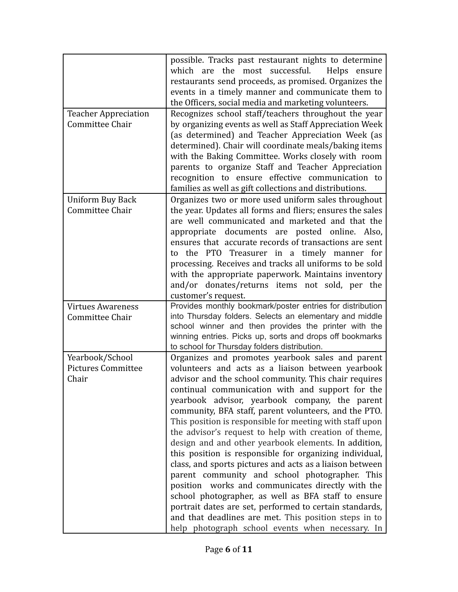|                                                       | possible. Tracks past restaurant nights to determine<br>the most successful.<br>Helps ensure<br>which are<br>restaurants send proceeds, as promised. Organizes the<br>events in a timely manner and communicate them to<br>the Officers, social media and marketing volunteers.                                                                                                                                                                                                                                                                                                                                                                                                                                                                                                                                                                                                                                                                                         |
|-------------------------------------------------------|-------------------------------------------------------------------------------------------------------------------------------------------------------------------------------------------------------------------------------------------------------------------------------------------------------------------------------------------------------------------------------------------------------------------------------------------------------------------------------------------------------------------------------------------------------------------------------------------------------------------------------------------------------------------------------------------------------------------------------------------------------------------------------------------------------------------------------------------------------------------------------------------------------------------------------------------------------------------------|
| <b>Teacher Appreciation</b><br>Committee Chair        | Recognizes school staff/teachers throughout the year<br>by organizing events as well as Staff Appreciation Week<br>(as determined) and Teacher Appreciation Week (as<br>determined). Chair will coordinate meals/baking items<br>with the Baking Committee. Works closely with room<br>parents to organize Staff and Teacher Appreciation<br>recognition to ensure effective communication to<br>families as well as gift collections and distributions.                                                                                                                                                                                                                                                                                                                                                                                                                                                                                                                |
| Uniform Buy Back<br>Committee Chair                   | Organizes two or more used uniform sales throughout<br>the year. Updates all forms and fliers; ensures the sales<br>are well communicated and marketed and that the<br>appropriate documents are posted online. Also,<br>ensures that accurate records of transactions are sent<br>to the PTO Treasurer in a timely manner for<br>processing. Receives and tracks all uniforms to be sold<br>with the appropriate paperwork. Maintains inventory<br>and/or donates/returns items not sold, per the<br>customer's request.                                                                                                                                                                                                                                                                                                                                                                                                                                               |
| <b>Virtues Awareness</b><br>Committee Chair           | Provides monthly bookmark/poster entries for distribution<br>into Thursday folders. Selects an elementary and middle<br>school winner and then provides the printer with the<br>winning entries. Picks up, sorts and drops off bookmarks<br>to school for Thursday folders distribution.                                                                                                                                                                                                                                                                                                                                                                                                                                                                                                                                                                                                                                                                                |
| Yearbook/School<br><b>Pictures Committee</b><br>Chair | Organizes and promotes yearbook sales and parent<br>volunteers and acts as a liaison between yearbook<br>advisor and the school community. This chair requires<br>continual communication with and support for the<br>yearbook advisor, yearbook company, the parent<br>community, BFA staff, parent volunteers, and the PTO.<br>This position is responsible for meeting with staff upon<br>the advisor's request to help with creation of theme,<br>design and and other yearbook elements. In addition,<br>this position is responsible for organizing individual,<br>class, and sports pictures and acts as a liaison between<br>parent community and school photographer. This<br>position works and communicates directly with the<br>school photographer, as well as BFA staff to ensure<br>portrait dates are set, performed to certain standards,<br>and that deadlines are met. This position steps in to<br>help photograph school events when necessary. In |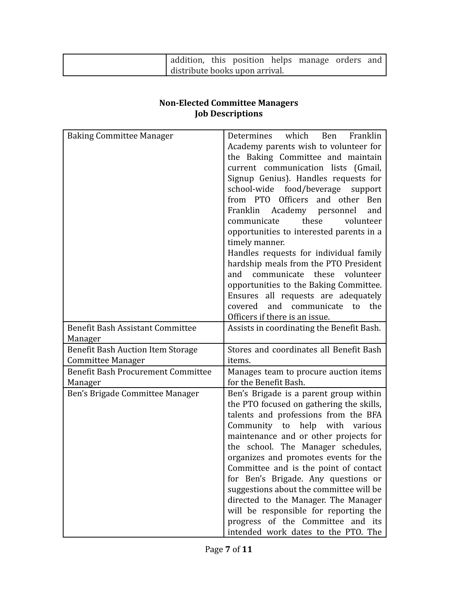| addition, this position helps manage orders and |  |  |  |
|-------------------------------------------------|--|--|--|
| distribute books upon arrival.                  |  |  |  |

## **Non-Elected Committee Managers Job Descriptions**

| <b>Baking Committee Manager</b>                               | which Ben<br>Determines<br>Franklin<br>Academy parents wish to volunteer for<br>the Baking Committee and maintain<br>current communication lists (Gmail,<br>Signup Genius). Handles requests for<br>school-wide food/beverage support<br>from PTO Officers and other Ben<br>Franklin Academy personnel<br>and<br>these<br>communicate<br>volunteer<br>opportunities to interested parents in a<br>timely manner.                                                                                                                                                             |
|---------------------------------------------------------------|------------------------------------------------------------------------------------------------------------------------------------------------------------------------------------------------------------------------------------------------------------------------------------------------------------------------------------------------------------------------------------------------------------------------------------------------------------------------------------------------------------------------------------------------------------------------------|
|                                                               | Handles requests for individual family<br>hardship meals from the PTO President<br>communicate these volunteer<br>and<br>opportunities to the Baking Committee.<br>Ensures all requests are adequately<br>covered and communicate to<br>the                                                                                                                                                                                                                                                                                                                                  |
| <b>Benefit Bash Assistant Committee</b>                       | Officers if there is an issue.<br>Assists in coordinating the Benefit Bash.                                                                                                                                                                                                                                                                                                                                                                                                                                                                                                  |
| Manager                                                       |                                                                                                                                                                                                                                                                                                                                                                                                                                                                                                                                                                              |
| <b>Benefit Bash Auction Item Storage</b><br>Committee Manager | Stores and coordinates all Benefit Bash<br>items.                                                                                                                                                                                                                                                                                                                                                                                                                                                                                                                            |
| <b>Benefit Bash Procurement Committee</b><br>Manager          | Manages team to procure auction items<br>for the Benefit Bash.                                                                                                                                                                                                                                                                                                                                                                                                                                                                                                               |
| Ben's Brigade Committee Manager                               | Ben's Brigade is a parent group within<br>the PTO focused on gathering the skills,<br>talents and professions from the BFA<br>Community to help with various<br>maintenance and or other projects for<br>the school. The Manager schedules,<br>organizes and promotes events for the<br>Committee and is the point of contact<br>for Ben's Brigade. Any questions or<br>suggestions about the committee will be<br>directed to the Manager. The Manager<br>will be responsible for reporting the<br>progress of the Committee and its<br>intended work dates to the PTO. The |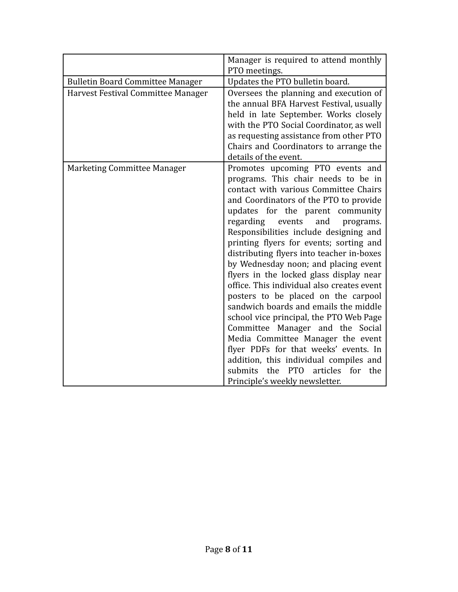|                                         | Manager is required to attend monthly<br>PTO meetings.                                                                                                                                                                                                                                                                                                                                                                                                                                                                                                                                                                                                                                                                                                                                                                                                                             |
|-----------------------------------------|------------------------------------------------------------------------------------------------------------------------------------------------------------------------------------------------------------------------------------------------------------------------------------------------------------------------------------------------------------------------------------------------------------------------------------------------------------------------------------------------------------------------------------------------------------------------------------------------------------------------------------------------------------------------------------------------------------------------------------------------------------------------------------------------------------------------------------------------------------------------------------|
| <b>Bulletin Board Committee Manager</b> | Updates the PTO bulletin board.                                                                                                                                                                                                                                                                                                                                                                                                                                                                                                                                                                                                                                                                                                                                                                                                                                                    |
| Harvest Festival Committee Manager      | Oversees the planning and execution of<br>the annual BFA Harvest Festival, usually<br>held in late September. Works closely<br>with the PTO Social Coordinator, as well<br>as requesting assistance from other PTO<br>Chairs and Coordinators to arrange the<br>details of the event.                                                                                                                                                                                                                                                                                                                                                                                                                                                                                                                                                                                              |
| Marketing Committee Manager             | Promotes upcoming PTO events and<br>programs. This chair needs to be in<br>contact with various Committee Chairs<br>and Coordinators of the PTO to provide<br>updates for the parent community<br>regarding events<br>and<br>programs.<br>Responsibilities include designing and<br>printing flyers for events; sorting and<br>distributing flyers into teacher in-boxes<br>by Wednesday noon; and placing event<br>flyers in the locked glass display near<br>office. This individual also creates event<br>posters to be placed on the carpool<br>sandwich boards and emails the middle<br>school vice principal, the PTO Web Page<br>Committee Manager and the Social<br>Media Committee Manager the event<br>flyer PDFs for that weeks' events. In<br>addition, this individual compiles and<br>articles<br>the PTO<br>for<br>submits<br>the<br>Principle's weekly newsletter. |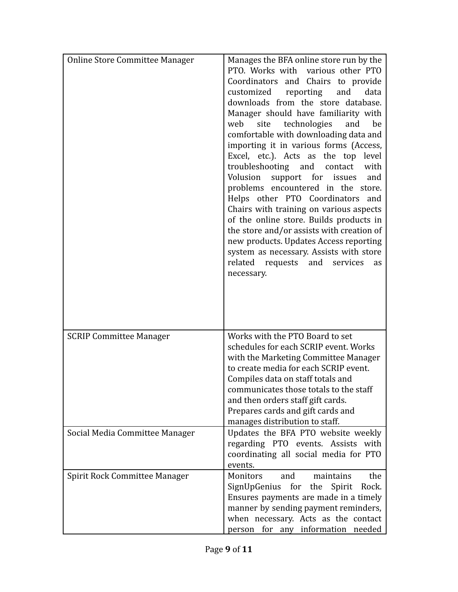| <b>Online Store Committee Manager</b> | Manages the BFA online store run by the<br>PTO. Works with various other PTO<br>Coordinators and Chairs to provide<br>customized<br>and<br>reporting<br>data<br>downloads from the store database.<br>Manager should have familiarity with<br>site technologies<br>web<br>and<br>be<br>comfortable with downloading data and<br>importing it in various forms (Access,<br>Excel, etc.). Acts as the top level<br>troubleshooting and contact<br>with<br>Volusion<br>support for issues<br>and<br>problems encountered in the store.<br>Helps other PTO Coordinators and<br>Chairs with training on various aspects<br>of the online store. Builds products in<br>the store and/or assists with creation of<br>new products. Updates Access reporting<br>system as necessary. Assists with store<br>related requests and services<br>as<br>necessary. |
|---------------------------------------|------------------------------------------------------------------------------------------------------------------------------------------------------------------------------------------------------------------------------------------------------------------------------------------------------------------------------------------------------------------------------------------------------------------------------------------------------------------------------------------------------------------------------------------------------------------------------------------------------------------------------------------------------------------------------------------------------------------------------------------------------------------------------------------------------------------------------------------------------|
| <b>SCRIP Committee Manager</b>        | Works with the PTO Board to set<br>schedules for each SCRIP event. Works<br>with the Marketing Committee Manager<br>to create media for each SCRIP event.<br>Compiles data on staff totals and<br>communicates those totals to the staff<br>and then orders staff gift cards.<br>Prepares cards and gift cards and<br>manages distribution to staff.                                                                                                                                                                                                                                                                                                                                                                                                                                                                                                 |
| Social Media Committee Manager        | Updates the BFA PTO website weekly<br>regarding PTO events. Assists with<br>coordinating all social media for PTO<br>events.                                                                                                                                                                                                                                                                                                                                                                                                                                                                                                                                                                                                                                                                                                                         |
| Spirit Rock Committee Manager         | Monitors<br>and<br>maintains<br>the<br>SignUpGenius for the Spirit Rock.<br>Ensures payments are made in a timely<br>manner by sending payment reminders,<br>when necessary. Acts as the contact<br>person for any information needed                                                                                                                                                                                                                                                                                                                                                                                                                                                                                                                                                                                                                |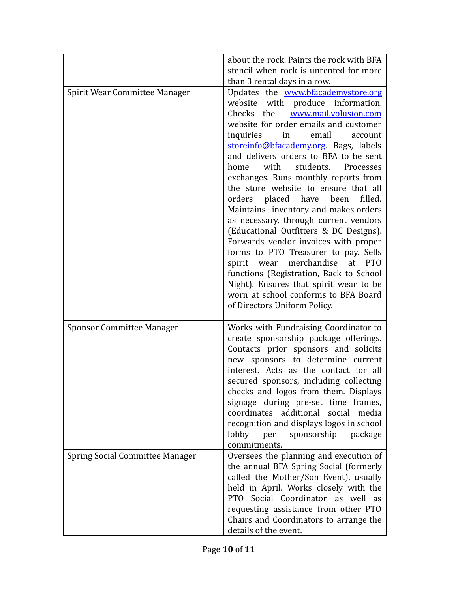|                                        | about the rock. Paints the rock with BFA<br>stencil when rock is unrented for more                                                                                                                                                                                                                                                                                                                                                                                                                                                                                                                                                                                                                                                                                                                                                                                         |
|----------------------------------------|----------------------------------------------------------------------------------------------------------------------------------------------------------------------------------------------------------------------------------------------------------------------------------------------------------------------------------------------------------------------------------------------------------------------------------------------------------------------------------------------------------------------------------------------------------------------------------------------------------------------------------------------------------------------------------------------------------------------------------------------------------------------------------------------------------------------------------------------------------------------------|
|                                        | than 3 rental days in a row.                                                                                                                                                                                                                                                                                                                                                                                                                                                                                                                                                                                                                                                                                                                                                                                                                                               |
| Spirit Wear Committee Manager          | Updates the www.bfacademystore.org<br>website with produce information.<br>www.mail.volusion.com<br>Checks the<br>website for order emails and customer<br>inquiries<br>in<br>email<br>account<br>storeinfo@bfacademy.org. Bags, labels<br>and delivers orders to BFA to be sent<br>with<br>students.<br>home<br>Processes<br>exchanges. Runs monthly reports from<br>the store website to ensure that all<br>filled.<br>orders placed have been<br>Maintains inventory and makes orders<br>as necessary, through current vendors<br>(Educational Outfitters & DC Designs).<br>Forwards vendor invoices with proper<br>forms to PTO Treasurer to pay. Sells<br>wear merchandise<br>at<br><b>PTO</b><br>spirit<br>functions (Registration, Back to School<br>Night). Ensures that spirit wear to be<br>worn at school conforms to BFA Board<br>of Directors Uniform Policy. |
| <b>Sponsor Committee Manager</b>       | Works with Fundraising Coordinator to<br>create sponsorship package offerings.<br>Contacts prior sponsors and solicits<br>new sponsors to determine current<br>interest. Acts as the contact for all<br>secured sponsors, including collecting<br>checks and logos from them. Displays<br>signage during pre-set time frames,<br>coordinates additional social<br>media<br>recognition and displays logos in school<br>lobby<br>sponsorship<br>package<br>per<br>commitments.                                                                                                                                                                                                                                                                                                                                                                                              |
| <b>Spring Social Committee Manager</b> | Oversees the planning and execution of<br>the annual BFA Spring Social (formerly<br>called the Mother/Son Event), usually<br>held in April. Works closely with the<br>Social Coordinator, as well as<br>PTO <b>P</b><br>requesting assistance from other PTO<br>Chairs and Coordinators to arrange the<br>details of the event.                                                                                                                                                                                                                                                                                                                                                                                                                                                                                                                                            |